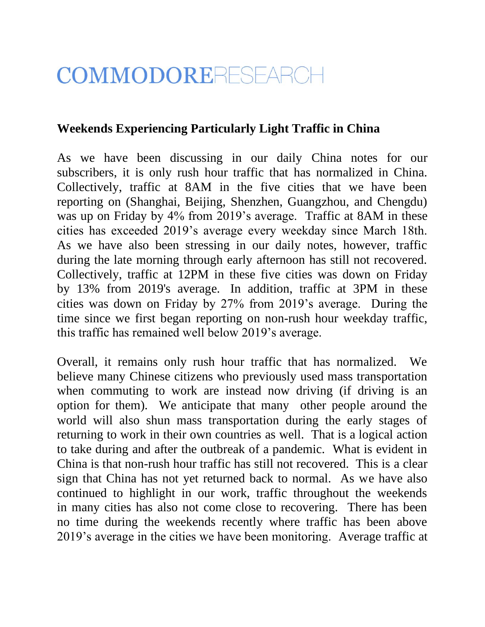## COMMODORERESEARCH

## **Weekends Experiencing Particularly Light Traffic in China**

As we have been discussing in our daily China notes for our subscribers, it is only rush hour traffic that has normalized in China. Collectively, traffic at 8AM in the five cities that we have been reporting on (Shanghai, Beijing, Shenzhen, Guangzhou, and Chengdu) was up on Friday by 4% from 2019's average. Traffic at 8AM in these cities has exceeded 2019's average every weekday since March 18th. As we have also been stressing in our daily notes, however, traffic during the late morning through early afternoon has still not recovered. Collectively, traffic at 12PM in these five cities was down on Friday by 13% from 2019's average. In addition, traffic at 3PM in these cities was down on Friday by 27% from 2019's average. During the time since we first began reporting on non-rush hour weekday traffic, this traffic has remained well below 2019's average.

Overall, it remains only rush hour traffic that has normalized. We believe many Chinese citizens who previously used mass transportation when commuting to work are instead now driving (if driving is an option for them). We anticipate that many other people around the world will also shun mass transportation during the early stages of returning to work in their own countries as well. That is a logical action to take during and after the outbreak of a pandemic. What is evident in China is that non-rush hour traffic has still not recovered. This is a clear sign that China has not yet returned back to normal. As we have also continued to highlight in our work, traffic throughout the weekends in many cities has also not come close to recovering. There has been no time during the weekends recently where traffic has been above 2019's average in the cities we have been monitoring. Average traffic at